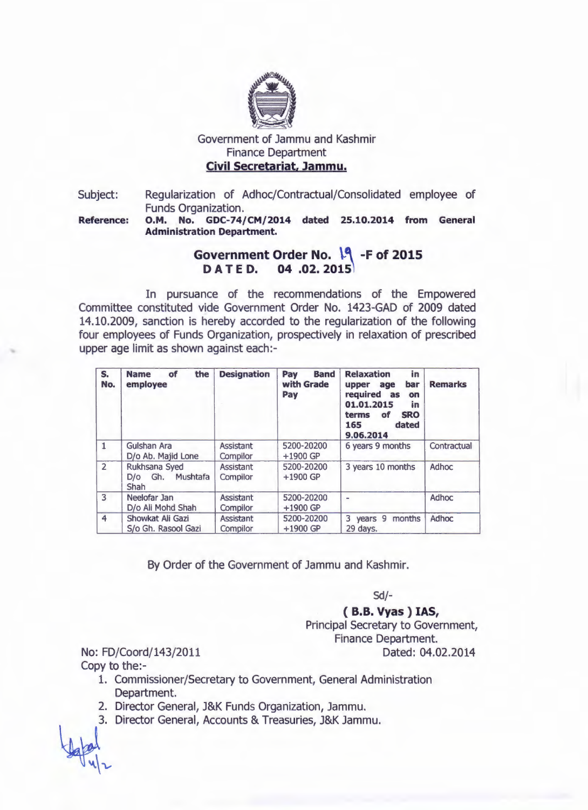

## Government of Jammu and Kashmir Finance Department Civil Secretariat, Jammu.

Subject: Regularization of Adhoc/Contractual/Consolidated employee of Funds Organization.

Reference: O.M. No. GDC-74/CM/2014 dated 25.10.2014 from General Administration Department.

## Government Order No. 19 -F of 2015 D A T E D. 04 .02. 2015

In pursuance of the recommendations of the Empowered Committee constituted vide Government Order No. 1423-GAD of 2009 dated 14.10.2009, sanction is hereby accorded to the regularization of the following four employees of Funds Organization, prospectively in relaxation of prescribed upper age limit as shown against each:-

| S.<br>No.      | the<br><b>Name</b><br>of<br>employee      | <b>Designation</b>           | Pay<br><b>Band</b><br>with Grade<br>Pay | <b>Relaxation</b><br>in<br>bar<br>upper age<br>required as<br>on<br>01.01.2015<br>in<br><b>SRO</b><br>terms<br>of<br>165<br>dated<br>9.06.2014 | <b>Remarks</b> |
|----------------|-------------------------------------------|------------------------------|-----------------------------------------|------------------------------------------------------------------------------------------------------------------------------------------------|----------------|
| $\mathbf{1}$   | Gulshan Ara<br>D/o Ab. Majid Lone         | <b>Assistant</b><br>Compilor | 5200-20200<br>$+1900$ GP                | 6 years 9 months                                                                                                                               | Contractual    |
| $\overline{2}$ | Rukhsana Syed<br>D/o Gh. Mushtafa<br>Shah | <b>Assistant</b><br>Compilor | 5200-20200<br>$+1900$ GP                | 3 years 10 months                                                                                                                              | <b>Adhoc</b>   |
| 3              | Neelofar Jan<br>D/o Ali Mohd Shah         | <b>Assistant</b><br>Compilor | 5200-20200<br>$+1900$ GP                |                                                                                                                                                | <b>Adhoc</b>   |
| 4              | Showkat Ali Gazi<br>S/o Gh. Rasool Gazi   | <b>Assistant</b><br>Compilor | 5200-20200<br>$+1900$ GP                | 3 years 9<br>months<br>29 days.                                                                                                                | Adhoc          |

By Order of the Government of Jammu and Kashmir.

*Sd/-*

## ( B.B. Vyas ) lAS,

Principal Secretary to Government, Finance Department. Dated: 04.02.2014

No: FD/Coord/143/2011 Copy to the:-

- 1. Commissioner/Secretary to Government, General Administration Department.
- 2. Director General, J&K Funds Organization, Jammu.
- 3. Director General, Accounts & Treasuries, J&K Jammu.